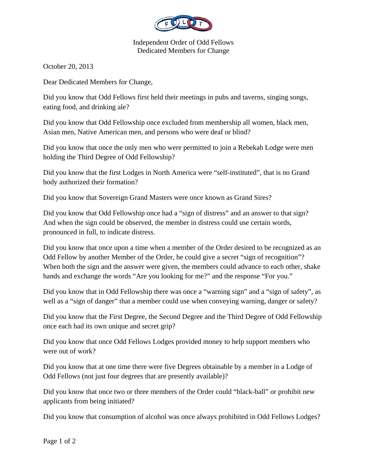

Independent Order of Odd Fellows Dedicated Members for Change

October 20, 2013

Dear Dedicated Members for Change,

Did you know that Odd Fellows first held their meetings in pubs and taverns, singing songs, eating food, and drinking ale?

Did you know that Odd Fellowship once excluded from membership all women, black men, Asian men, Native American men, and persons who were deaf or blind?

Did you know that once the only men who were permitted to join a Rebekah Lodge were men holding the Third Degree of Odd Fellowship?

Did you know that the first Lodges in North America were "self-instituted", that is no Grand body authorized their formation?

Did you know that Sovereign Grand Masters were once known as Grand Sires?

Did you know that Odd Fellowship once had a "sign of distress" and an answer to that sign? And when the sign could be observed, the member in distress could use certain words, pronounced in full, to indicate distress.

Did you know that once upon a time when a member of the Order desired to be recognized as an Odd Fellow by another Member of the Order, he could give a secret "sign of recognition"? When both the sign and the answer were given, the members could advance to each other, shake hands and exchange the words "Are you looking for me?" and the response "For you."

Did you know that in Odd Fellowship there was once a "warning sign" and a "sign of safety", as well as a "sign of danger" that a member could use when conveying warning, danger or safety?

Did you know that the First Degree, the Second Degree and the Third Degree of Odd Fellowship once each had its own unique and secret grip?

Did you know that once Odd Fellows Lodges provided money to help support members who were out of work?

Did you know that at one time there were five Degrees obtainable by a member in a Lodge of Odd Fellows (not just four degrees that are presently available)?

Did you know that once two or three members of the Order could "black-ball" or prohibit new applicants from being initiated?

Did you know that consumption of alcohol was once always prohibited in Odd Fellows Lodges?